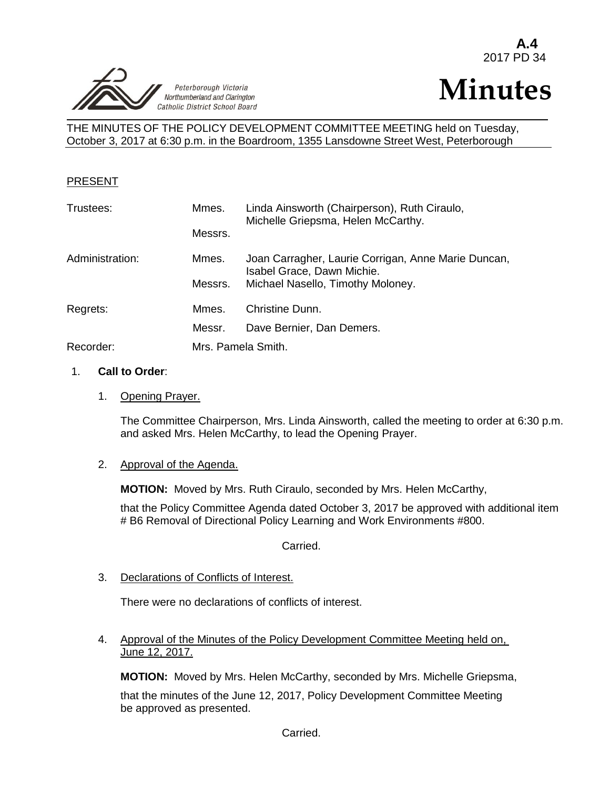



THE MINUTES OF THE POLICY DEVELOPMENT COMMITTEE MEETING held on Tuesday, October 3, 2017 at 6:30 p.m. in the Boardroom, 1355 Lansdowne Street West, Peterborough

#### PRESENT

| Trustees:       | Mmes.              | Linda Ainsworth (Chairperson), Ruth Ciraulo,<br>Michelle Griepsma, Helen McCarthy. |
|-----------------|--------------------|------------------------------------------------------------------------------------|
|                 | Messrs.            |                                                                                    |
| Administration: | Mmes.              | Joan Carragher, Laurie Corrigan, Anne Marie Duncan,<br>Isabel Grace, Dawn Michie.  |
|                 | Messrs.            | Michael Nasello, Timothy Moloney.                                                  |
| Regrets:        | Mmes.              | Christine Dunn.                                                                    |
|                 | Messr.             | Dave Bernier, Dan Demers.                                                          |
| Recorder:       | Mrs. Pamela Smith. |                                                                                    |

#### 1. **Call to Order**:

1. Opening Prayer.

The Committee Chairperson, Mrs. Linda Ainsworth, called the meeting to order at 6:30 p.m. and asked Mrs. Helen McCarthy, to lead the Opening Prayer.

#### 2. Approval of the Agenda.

**MOTION:** Moved by Mrs. Ruth Ciraulo, seconded by Mrs. Helen McCarthy,

that the Policy Committee Agenda dated October 3, 2017 be approved with additional item # B6 Removal of Directional Policy Learning and Work Environments #800.

Carried.

3. Declarations of Conflicts of Interest.

There were no declarations of conflicts of interest.

4. Approval of the Minutes of the Policy Development Committee Meeting held on, June 12, 2017.

**MOTION:** Moved by Mrs. Helen McCarthy, seconded by Mrs. Michelle Griepsma,

that the minutes of the June 12, 2017, Policy Development Committee Meeting be approved as presented.

Carried.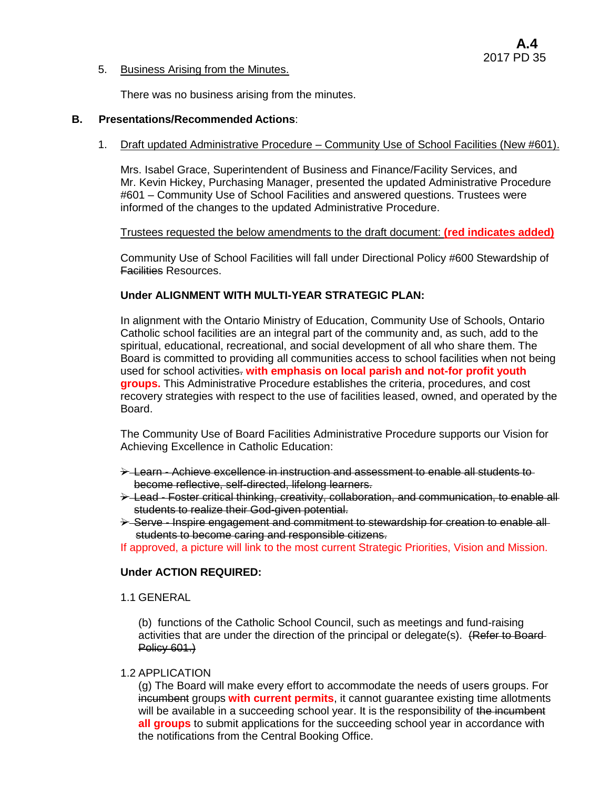#### 5. Business Arising from the Minutes.

There was no business arising from the minutes.

#### **B. Presentations/Recommended Actions**:

### 1. Draft updated Administrative Procedure – Community Use of School Facilities (New #601).

Mrs. Isabel Grace, Superintendent of Business and Finance/Facility Services, and Mr. Kevin Hickey, Purchasing Manager, presented the updated Administrative Procedure #601 – Community Use of School Facilities and answered questions. Trustees were informed of the changes to the updated Administrative Procedure.

#### Trustees requested the below amendments to the draft document: **(red indicates added)**

Community Use of School Facilities will fall under Directional Policy #600 Stewardship of Facilities Resources.

### **Under ALIGNMENT WITH MULTI-YEAR STRATEGIC PLAN:**

In alignment with the Ontario Ministry of Education, Community Use of Schools, Ontario Catholic school facilities are an integral part of the community and, as such, add to the spiritual, educational, recreational, and social development of all who share them. The Board is committed to providing all communities access to school facilities when not being used for school activities. **with emphasis on local parish and not-for profit youth groups.** This Administrative Procedure establishes the criteria, procedures, and cost recovery strategies with respect to the use of facilities leased, owned, and operated by the Board.

The Community Use of Board Facilities Administrative Procedure supports our Vision for Achieving Excellence in Catholic Education:

- $\rightarrow$  Learn Achieve excellence in instruction and assessment to enable all students to become reflective, self-directed, lifelong learners.
- $\rightarrow$  Lead Foster critical thinking, creativity, collaboration, and communication, to enable all students to realize their God-given potential.
- $\rightarrow$  Serve Inspire engagement and commitment to stewardship for creation to enable allstudents to become caring and responsible citizens.

If approved, a picture will link to the most current Strategic Priorities, Vision and Mission.

# **Under ACTION REQUIRED:**

1.1 GENERAL

(b) functions of the Catholic School Council, such as meetings and fund-raising activities that are under the direction of the principal or delegate(s). (Refer to Board-Policy 601.)

#### 1.2 APPLICATION

(g) The Board will make every effort to accommodate the needs of users groups. For incumbent groups **with current permits**, it cannot guarantee existing time allotments will be available in a succeeding school year. It is the responsibility of the incumbent **all groups** to submit applications for the succeeding school year in accordance with the notifications from the Central Booking Office.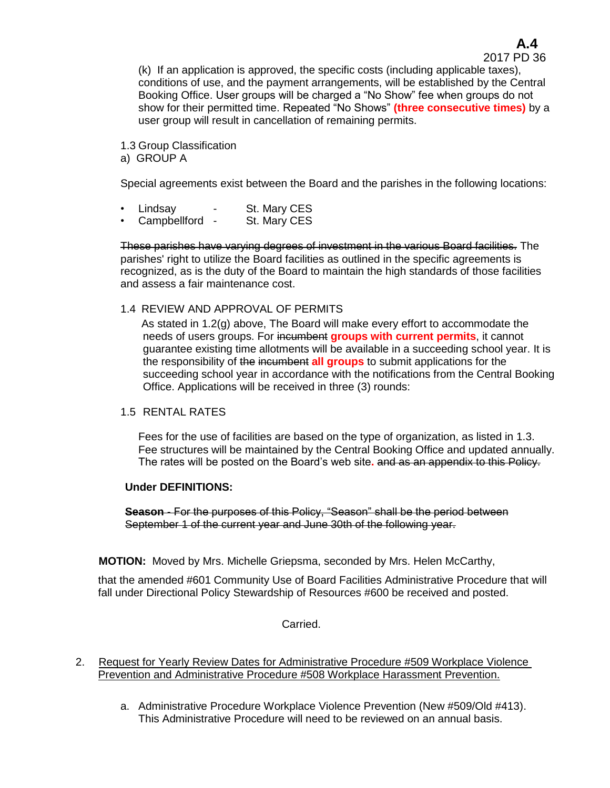2017 PD 36 (k) If an application is approved, the specific costs (including applicable taxes), conditions of use, and the payment arrangements, will be established by the Central Booking Office. User groups will be charged a "No Show" fee when groups do not show for their permitted time. Repeated "No Shows" **(three consecutive times)** by a user group will result in cancellation of remaining permits.

1.3 Group Classification a) GROUP A

Special agreements exist between the Board and the parishes in the following locations:

- Lindsay St. Mary CES
- Campbellford St. Mary CES

These parishes have varying degrees of investment in the various Board facilities. The parishes' right to utilize the Board facilities as outlined in the specific agreements is recognized, as is the duty of the Board to maintain the high standards of those facilities and assess a fair maintenance cost.

1.4 REVIEW AND APPROVAL OF PERMITS

As stated in 1.2(g) above, The Board will make every effort to accommodate the needs of users groups. For incumbent **groups with current permits**, it cannot guarantee existing time allotments will be available in a succeeding school year. It is the responsibility of the incumbent **all groups** to submit applications for the succeeding school year in accordance with the notifications from the Central Booking Office. Applications will be received in three (3) rounds:

# 1.5 RENTAL RATES

Fees for the use of facilities are based on the type of organization, as listed in 1.3. Fee structures will be maintained by the Central Booking Office and updated annually. The rates will be posted on the Board's web site**.** and as an appendix to this Policy.

#### **Under DEFINITIONS:**

**Season** - For the purposes of this Policy, "Season" shall be the period between September 1 of the current year and June 30th of the following year.

**MOTION:** Moved by Mrs. Michelle Griepsma, seconded by Mrs. Helen McCarthy,

that the amended #601 Community Use of Board Facilities Administrative Procedure that will fall under Directional Policy Stewardship of Resources #600 be received and posted.

Carried.

- 2. Request for Yearly Review Dates for Administrative Procedure #509 Workplace Violence Prevention and Administrative Procedure #508 Workplace Harassment Prevention.
	- a. Administrative Procedure Workplace Violence Prevention (New #509/Old #413). This Administrative Procedure will need to be reviewed on an annual basis.

# **A.4**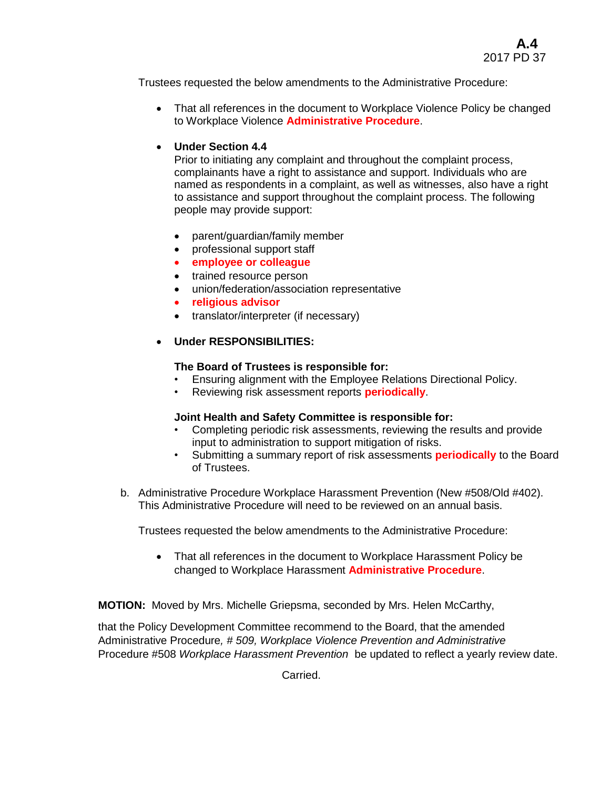Trustees requested the below amendments to the Administrative Procedure:

• That all references in the document to Workplace Violence Policy be changed to Workplace Violence **Administrative Procedure**.

# **Under Section 4.4**

Prior to initiating any complaint and throughout the complaint process, complainants have a right to assistance and support. Individuals who are named as respondents in a complaint, as well as witnesses, also have a right to assistance and support throughout the complaint process. The following people may provide support:

- parent/guardian/family member
- professional support staff
- **employee or colleague**
- trained resource person
- union/federation/association representative
- **religious advisor**
- translator/interpreter (if necessary)
- **Under RESPONSIBILITIES:**

# **The Board of Trustees is responsible for:**

- Ensuring alignment with the Employee Relations Directional Policy.
- Reviewing risk assessment reports **periodically**.

# **Joint Health and Safety Committee is responsible for:**

- Completing periodic risk assessments, reviewing the results and provide input to administration to support mitigation of risks.
- Submitting a summary report of risk assessments **periodically** to the Board of Trustees.
- b. Administrative Procedure Workplace Harassment Prevention (New #508/Old #402). This Administrative Procedure will need to be reviewed on an annual basis.

Trustees requested the below amendments to the Administrative Procedure:

 That all references in the document to Workplace Harassment Policy be changed to Workplace Harassment **Administrative Procedure**.

**MOTION:** Moved by Mrs. Michelle Griepsma, seconded by Mrs. Helen McCarthy,

that the Policy Development Committee recommend to the Board, that the amended Administrative Procedure*, # 509, Workplace Violence Prevention and Administrative*  Procedure #508 *Workplace Harassment Prevention* be updated to reflect a yearly review date.

Carried.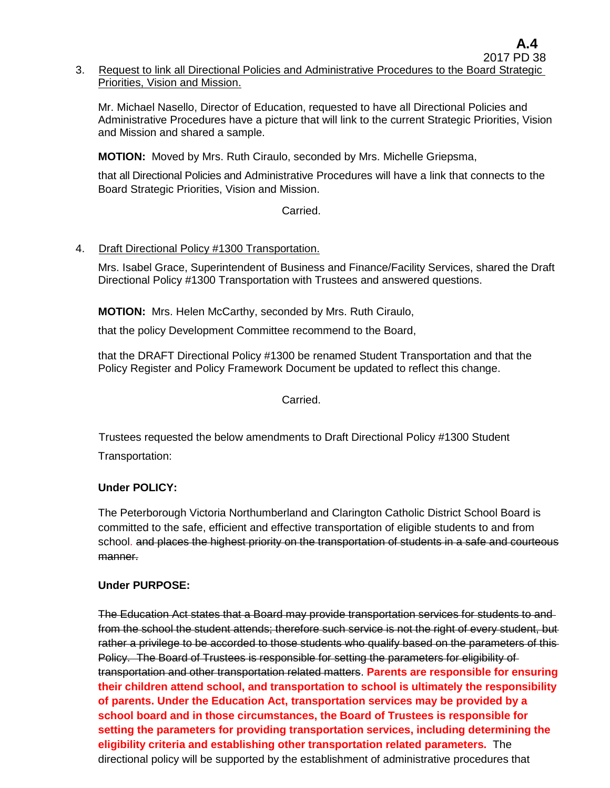Mr. Michael Nasello, Director of Education, requested to have all Directional Policies and Administrative Procedures have a picture that will link to the current Strategic Priorities, Vision and Mission and shared a sample.

**MOTION:** Moved by Mrs. Ruth Ciraulo, seconded by Mrs. Michelle Griepsma,

that all Directional Policies and Administrative Procedures will have a link that connects to the Board Strategic Priorities, Vision and Mission.

# Carried.

# 4. Draft Directional Policy #1300 Transportation.

Mrs. Isabel Grace, Superintendent of Business and Finance/Facility Services, shared the Draft Directional Policy #1300 Transportation with Trustees and answered questions.

**MOTION:** Mrs. Helen McCarthy, seconded by Mrs. Ruth Ciraulo,

that the policy Development Committee recommend to the Board,

that the DRAFT Directional Policy #1300 be renamed Student Transportation and that the Policy Register and Policy Framework Document be updated to reflect this change.

# Carried.

Trustees requested the below amendments to Draft Directional Policy #1300 Student

Transportation:

# **Under POLICY:**

The Peterborough Victoria Northumberland and Clarington Catholic District School Board is committed to the safe, efficient and effective transportation of eligible students to and from school. and places the highest priority on the transportation of students in a safe and courteous manner.

# **Under PURPOSE:**

The Education Act states that a Board may provide transportation services for students to and from the school the student attends; therefore such service is not the right of every student, but rather a privilege to be accorded to those students who qualify based on the parameters of this-Policy. The Board of Trustees is responsible for setting the parameters for eligibility of transportation and other transportation related matters. **Parents are responsible for ensuring their children attend school, and transportation to school is ultimately the responsibility of parents. Under the Education Act, transportation services may be provided by a school board and in those circumstances, the Board of Trustees is responsible for setting the parameters for providing transportation services, including determining the eligibility criteria and establishing other transportation related parameters.** The directional policy will be supported by the establishment of administrative procedures that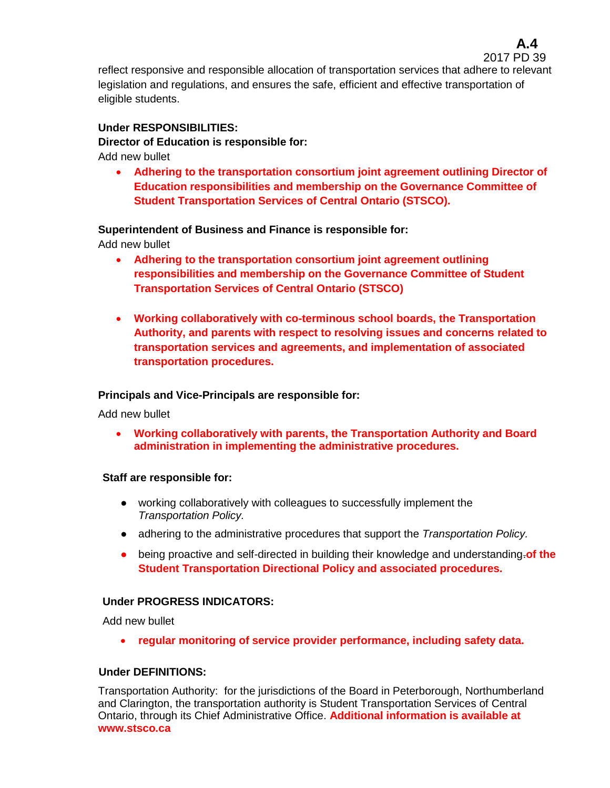reflect responsive and responsible allocation of transportation services that adhere to relevant legislation and regulations, and ensures the safe, efficient and effective transportation of eligible students.

# **Under RESPONSIBILITIES:**

**Director of Education is responsible for:**

Add new bullet

 **Adhering to the transportation consortium joint agreement outlining Director of Education responsibilities and membership on the Governance Committee of Student Transportation Services of Central Ontario (STSCO).**

# **Superintendent of Business and Finance is responsible for:**

Add new bullet

- **Adhering to the transportation consortium joint agreement outlining responsibilities and membership on the Governance Committee of Student Transportation Services of Central Ontario (STSCO)**
- **Working collaboratively with co-terminous school boards, the Transportation Authority, and parents with respect to resolving issues and concerns related to transportation services and agreements, and implementation of associated transportation procedures.**

# **Principals and Vice-Principals are responsible for:**

Add new bullet

 **Working collaboratively with parents, the Transportation Authority and Board administration in implementing the administrative procedures.**

# **Staff are responsible for:**

- working collaboratively with colleagues to successfully implement the *Transportation Policy.*
- adhering to the administrative procedures that support the *Transportation Policy.*
- being proactive and self-directed in building their knowledge and understanding.**of the Student Transportation Directional Policy and associated procedures.**

# **Under PROGRESS INDICATORS:**

Add new bullet

**regular monitoring of service provider performance, including safety data.**

# **Under DEFINITIONS:**

Transportation Authority: for the jurisdictions of the Board in Peterborough, Northumberland and Clarington, the transportation authority is Student Transportation Services of Central Ontario, through its Chief Administrative Office. **Additional information is available at www.stsco.ca**

2017 PD 39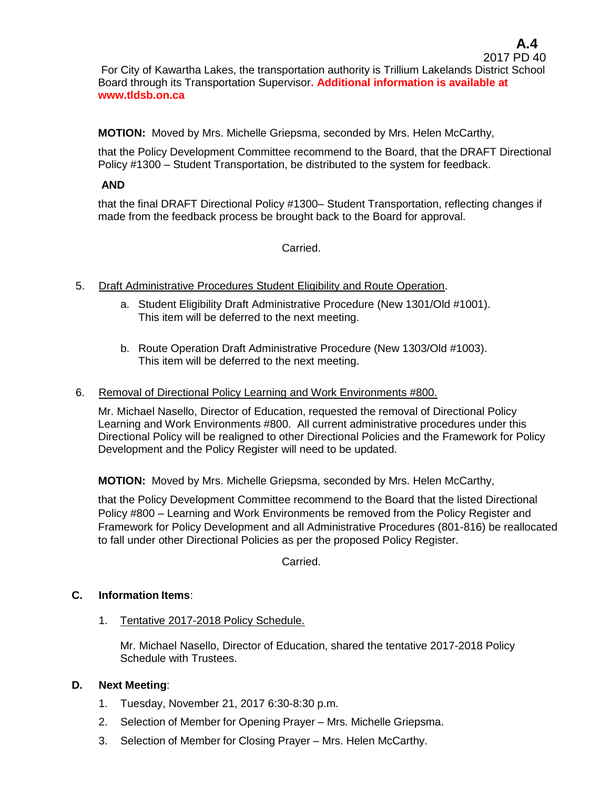**MOTION:** Moved by Mrs. Michelle Griepsma, seconded by Mrs. Helen McCarthy,

that the Policy Development Committee recommend to the Board, that the DRAFT Directional Policy #1300 – Student Transportation, be distributed to the system for feedback.

# **AND**

that the final DRAFT Directional Policy #1300– Student Transportation, reflecting changes if made from the feedback process be brought back to the Board for approval.

# Carried.

- 5. Draft Administrative Procedures Student Eligibility and Route Operation.
	- a. Student Eligibility Draft Administrative Procedure (New 1301/Old #1001). This item will be deferred to the next meeting.
	- b. Route Operation Draft Administrative Procedure (New 1303/Old #1003). This item will be deferred to the next meeting.

### 6. Removal of Directional Policy Learning and Work Environments #800.

Mr. Michael Nasello, Director of Education, requested the removal of Directional Policy Learning and Work Environments #800. All current administrative procedures under this Directional Policy will be realigned to other Directional Policies and the Framework for Policy Development and the Policy Register will need to be updated.

**MOTION:** Moved by Mrs. Michelle Griepsma, seconded by Mrs. Helen McCarthy,

that the Policy Development Committee recommend to the Board that the listed Directional Policy #800 – Learning and Work Environments be removed from the Policy Register and Framework for Policy Development and all Administrative Procedures (801-816) be reallocated to fall under other Directional Policies as per the proposed Policy Register.

Carried.

# **C. Information Items**:

1. Tentative 2017-2018 Policy Schedule.

Mr. Michael Nasello, Director of Education, shared the tentative 2017-2018 Policy Schedule with Trustees.

# **D. Next Meeting**:

- 1. Tuesday, November 21, 2017 6:30-8:30 p.m.
- 2. Selection of Member for Opening Prayer Mrs. Michelle Griepsma.
- 3. Selection of Member for Closing Prayer Mrs. Helen McCarthy.